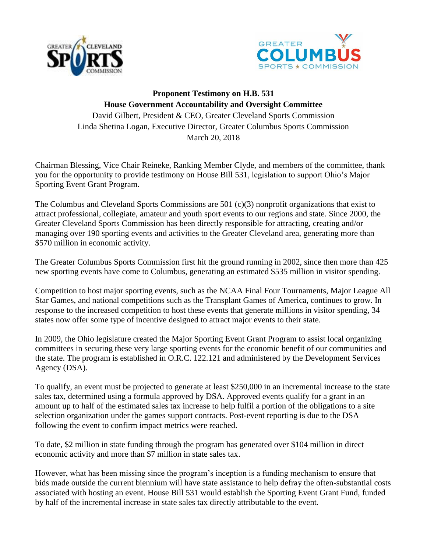



## **Proponent Testimony on H.B. 531 House Government Accountability and Oversight Committee** David Gilbert, President & CEO, Greater Cleveland Sports Commission Linda Shetina Logan, Executive Director, Greater Columbus Sports Commission March 20, 2018

Chairman Blessing, Vice Chair Reineke, Ranking Member Clyde, and members of the committee, thank you for the opportunity to provide testimony on House Bill 531, legislation to support Ohio's Major Sporting Event Grant Program.

The Columbus and Cleveland Sports Commissions are 501 (c)(3) nonprofit organizations that exist to attract professional, collegiate, amateur and youth sport events to our regions and state. Since 2000, the Greater Cleveland Sports Commission has been directly responsible for attracting, creating and/or managing over 190 sporting events and activities to the Greater Cleveland area, generating more than \$570 million in economic activity.

The Greater Columbus Sports Commission first hit the ground running in 2002, since then more than 425 new sporting events have come to Columbus, generating an estimated \$535 million in visitor spending.

Competition to host major sporting events, such as the NCAA Final Four Tournaments, Major League All Star Games, and national competitions such as the Transplant Games of America, continues to grow. In response to the increased competition to host these events that generate millions in visitor spending, 34 states now offer some type of incentive designed to attract major events to their state.

In 2009, the Ohio legislature created the Major Sporting Event Grant Program to assist local organizing committees in securing these very large sporting events for the economic benefit of our communities and the state. The program is established in O.R.C. 122.121 and administered by the Development Services Agency (DSA).

To qualify, an event must be projected to generate at least \$250,000 in an incremental increase to the state sales tax, determined using a formula approved by DSA. Approved events qualify for a grant in an amount up to half of the estimated sales tax increase to help fulfil a portion of the obligations to a site selection organization under the games support contracts. Post-event reporting is due to the DSA following the event to confirm impact metrics were reached.

To date, \$2 million in state funding through the program has generated over \$104 million in direct economic activity and more than \$7 million in state sales tax.

However, what has been missing since the program's inception is a funding mechanism to ensure that bids made outside the current biennium will have state assistance to help defray the often-substantial costs associated with hosting an event. House Bill 531 would establish the Sporting Event Grant Fund, funded by half of the incremental increase in state sales tax directly attributable to the event.